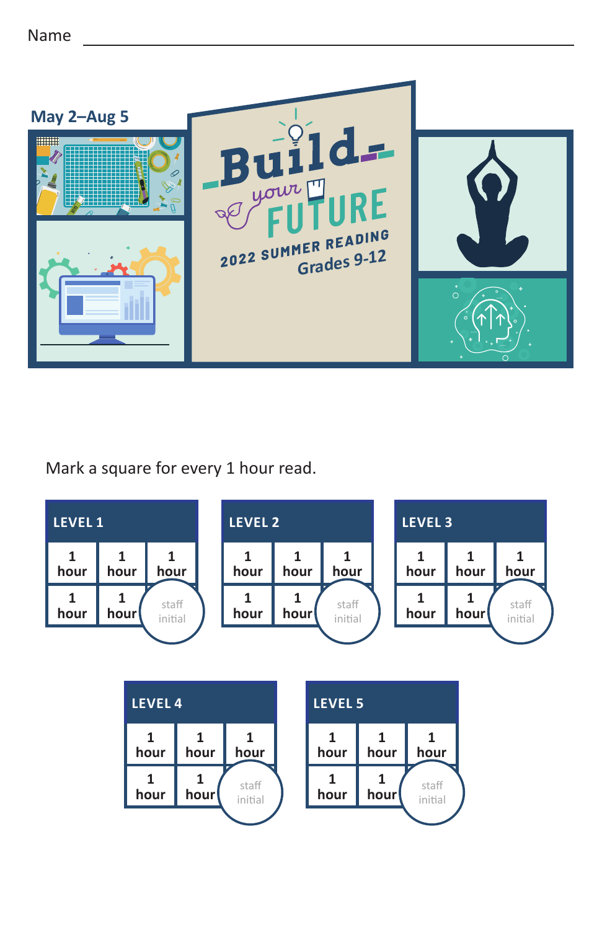

## Mark a square for every 1 hour read.